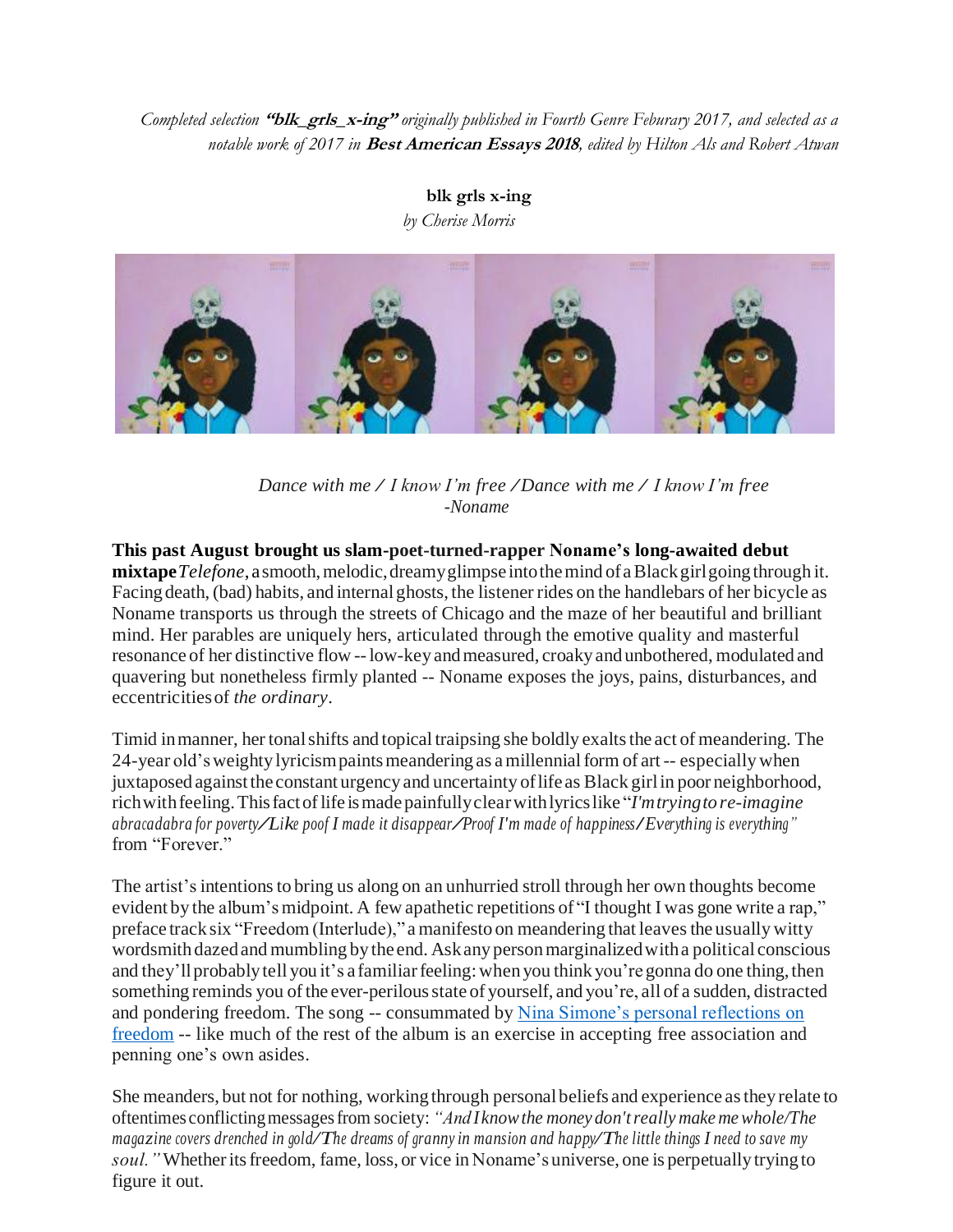*Completed selection* **"blk\_grls\_x-ing"** *originally published in Fourth Genre Feburary 2017, and selected as a notable work of 2017 in* **Best American Essays 2018***, edited by Hilton Als and Robert Atwan*



**blk grls x-ing** *by Cherise Morris*

*Dance with me / I know I'm free /Dance with me / I know I'm free -Noname*

**This past August brought us slam-poet-turned-rapper Noname's long-awaited debut mixtape** *Telefone*, a smooth, melodic, dreamy glimpse into the mind of a Black girl going through it. Facing death, (bad) habits, and internalghosts, the listener rides on the handlebars of her bicycle as Noname transports us through the streets of Chicago and the maze of her beautiful and brilliant mind. Her parables are uniquely hers, articulated through the emotive quality and masterful resonance of her distinctive flow -- low-key and measured, croaky and unbothered, modulated and quavering but nonetheless firmly planted -- Noname exposes the joys, pains, disturbances, and eccentricitiesof *the ordinary*.

Timid inmanner, her tonalshifts and topical traipsing she boldly exaltsthe act of meandering. The 24-year old's weighty lyricism paints meandering as a millennial form of art--especially when juxtaposed against the constant urgency and uncertainty of life as Black girl in poor neighborhood, richwithfeeling.Thisfactoflife ismadepainfullyclearwithlyricslike "*I'mtryingtore-imagine abracadabra for poverty/Like poof <sup>I</sup> made it disappear/Proof I'm made of happiness*/*Everything is everything"*  from "Forever."

The artist's intentionsto bring us along on an unhurried stroll through her own thoughts become evident by the album's midpoint. A few apathetic repetitions of "I thought I was gone write a rap," preface track six "Freedom (Interlude)," a manifesto on meandering that leaves the usually witty wordsmith dazedand mumbling bythe end. Askany personmarginalizedwitha political conscious and they'll probably tell you it's a familiar feeling: when you think you're gonna do one thing, then something reminds you of the ever-perilous state of yourself, and you're, all of a sudden, distracted and pondering freedom. The song -- consummated by [Nina Simone's personal reflections on](https://www.youtube.com/watch?v=pByeP0T6zZE) [freedom](https://www.youtube.com/watch?v=pByeP0T6zZE) -- like much of the rest of the album is an exercise in accepting free association and penning one's own asides.

She meanders, but not for nothing, working through personalbeliefs and experience asthey relate to oftentimes conflicting messages from society: "And I know the money don't really make me whole/The magazine covers drenched in gold/The dreams of granny in mansion and happy/The little things I need to save my *soul.* "Whether its freedom, fame, loss, or vice in Noname's universe, one is perpetually trying to figure it out.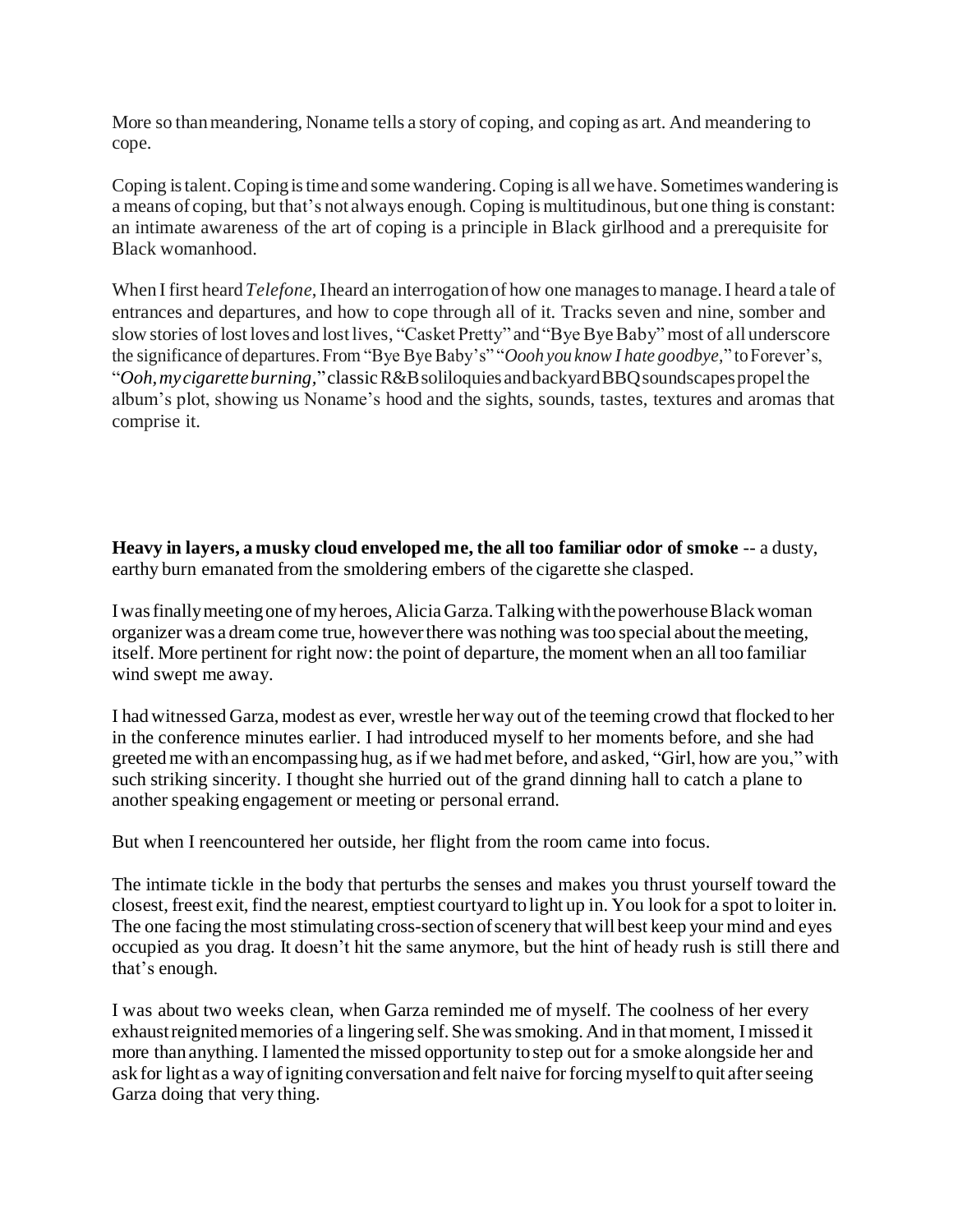More so than meandering, Noname tells a story of coping, and coping as art. And meandering to cope.

Coping istalent.Coping istime and somewandering.Coping is allwehave. Sometimeswandering is a means of coping, but that's not always enough. Coping is multitudinous, but one thing is constant: an intimate awareness of the art of coping is a principle in Black girlhood and a prerequisite for Black womanhood.

When I first heard *Telefone*, I heard an interrogation of how one manages to manage. I heard a tale of entrances and departures, and how to cope through all of it. Tracks seven and nine, somber and slow stories of lost loves and lost lives, "Casket Pretty" and "Bye Bye Baby" most of all underscore the significance of departures. From "Bye ByeBaby's" "*Oooh you know I hate goodbye,*" toForever's, "*Ooh,mycigaretteburning,*"classicR&Bsoliloquies andbackyardBBQsoundscapespropelthe album's plot, showing us Noname's hood and the sights, sounds, tastes, textures and aromas that comprise it.

**Heavy in layers, a musky cloud enveloped me, the all too familiar odor of smoke** -- a dusty, earthy burn emanated from the smoldering embers of the cigarette she clasped.

Iwasfinallymeetingone ofmy heroes,Alicia Garza.TalkingwiththepowerhouseBlackwoman organizer was a dream come true, howeverthere was nothing wastoo special about themeeting, itself. More pertinent for right now: the point of departure, the moment when an all too familiar wind swept me away.

I had witnessed Garza, modest as ever, wrestle herway out of the teeming crowd that flocked to her in the conference minutes earlier. I had introduced myself to her moments before, and she had greetedme with an encompassing hug, asif we hadmet before, and asked, "Girl, how are you,"with such striking sincerity. I thought she hurried out of the grand dinning hall to catch a plane to another speaking engagement or meeting or personal errand.

But when I reencountered her outside, her flight from the room came into focus.

The intimate tickle in the body that perturbs the senses and makes you thrust yourself toward the closest, freest exit, find the nearest, emptiest courtyard to light up in. You look for a spot to loiter in. The one facing the most stimulating cross-section of scenery that will best keep your mind and eyes occupied as you drag. It doesn't hit the same anymore, but the hint of heady rush is still there and that's enough.

I was about two weeks clean, when Garza reminded me of myself. The coolness of her every exhaust reignited memories of a lingering self. She was smoking. And in that moment, I missed it more than anything. I lamented the missed opportunity to step out for a smoke alongside her and ask for light as a way of igniting conversation and felt naive for forcing myself to quit after seeing Garza doing that very thing.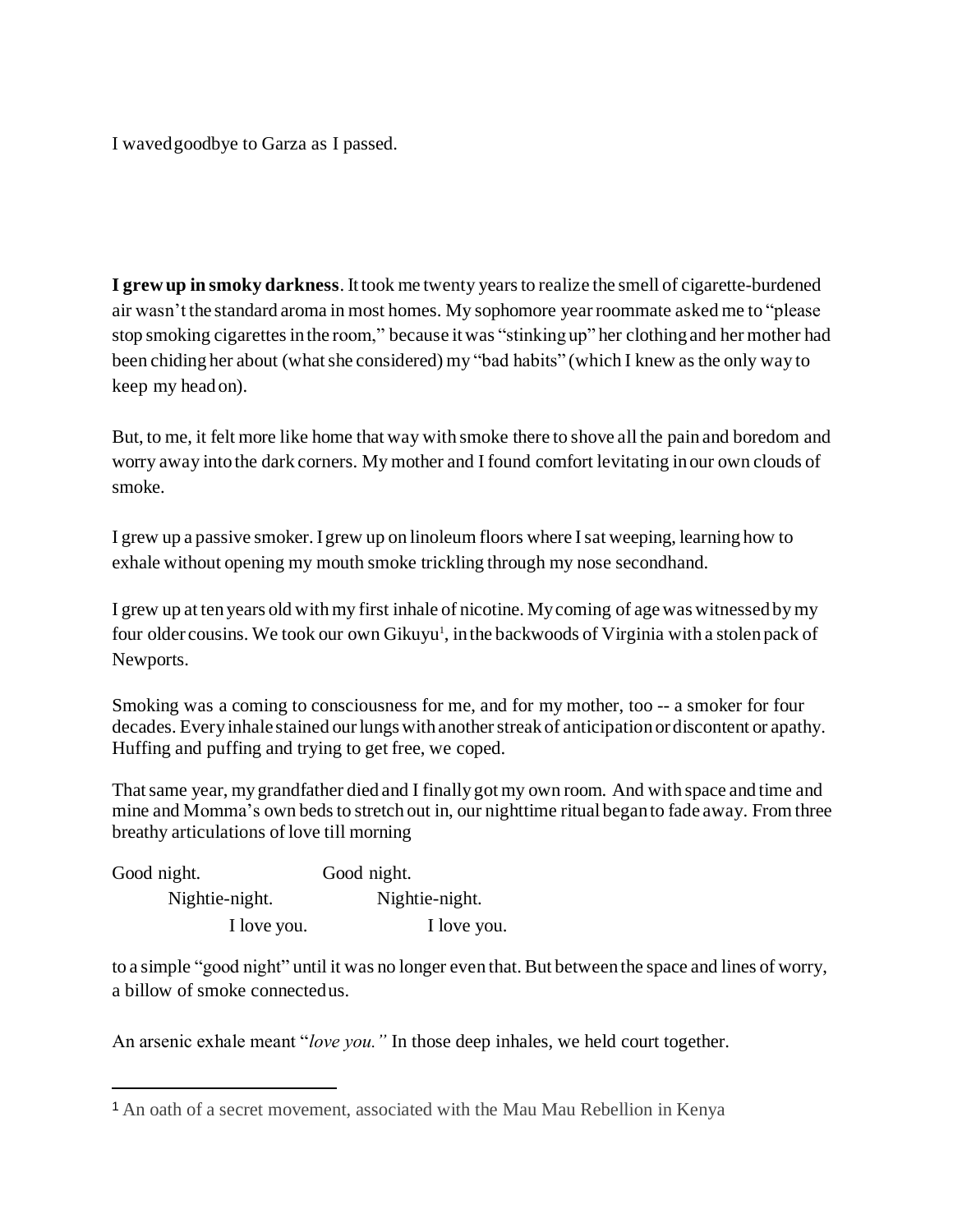I wavedgoodbye to Garza as I passed.

**I grewup in smoky darkness**. Ittook me twenty yearsto realize the smell of cigarette-burdened air wasn't the standard aroma in most homes. My sophomore yearroommate asked me to "please stop smoking cigarettes in the room," because it was "stinking up" her clothing and her mother had been chiding her about (what she considered) my "bad habits" (which I knew as the only way to keep my head on).

But, to me, it felt more like home that way with smoke there to shove all the pain and boredom and worry away into the dark corners. My mother and I found comfort levitating in our own clouds of smoke.

I grew up a passive smoker. I grew up on linoleum floors where Isat weeping, learning how to exhale without opening my mouth smoke trickling through my nose secondhand.

I grew up at ten years old withmy first inhale of nicotine. Mycoming of agewas witnessed bymy four older cousins. We took our own Gikuyu<sup>1</sup>, in the backwoods of Virginia with a stolen pack of Newports.

Smoking was a coming to consciousness for me, and for my mother, too -- a smoker for four decades. Every inhale stained our lungs with another streak of anticipation or discontent or apathy. Huffing and puffing and trying to get free, we coped.

Thatsame year, my grandfather died and I finally got my own room. And with space and time and mine and Momma's own beds to stretch out in, our nighttime ritual began to fade away. From three breathy articulations of love till morning

| Good night.    | Good night.    |
|----------------|----------------|
| Nightie-night. | Nightie-night. |
| I love you.    | I love you.    |

to a simple "good night" until it was no longer even that. But between the space and lines of worry, a billow of smoke connectedus.

An arsenic exhale meant "*love you."* In those deep inhales, we held court together.

<sup>1</sup> An oath of a secret movement, associated with the Mau Mau Rebellion in Kenya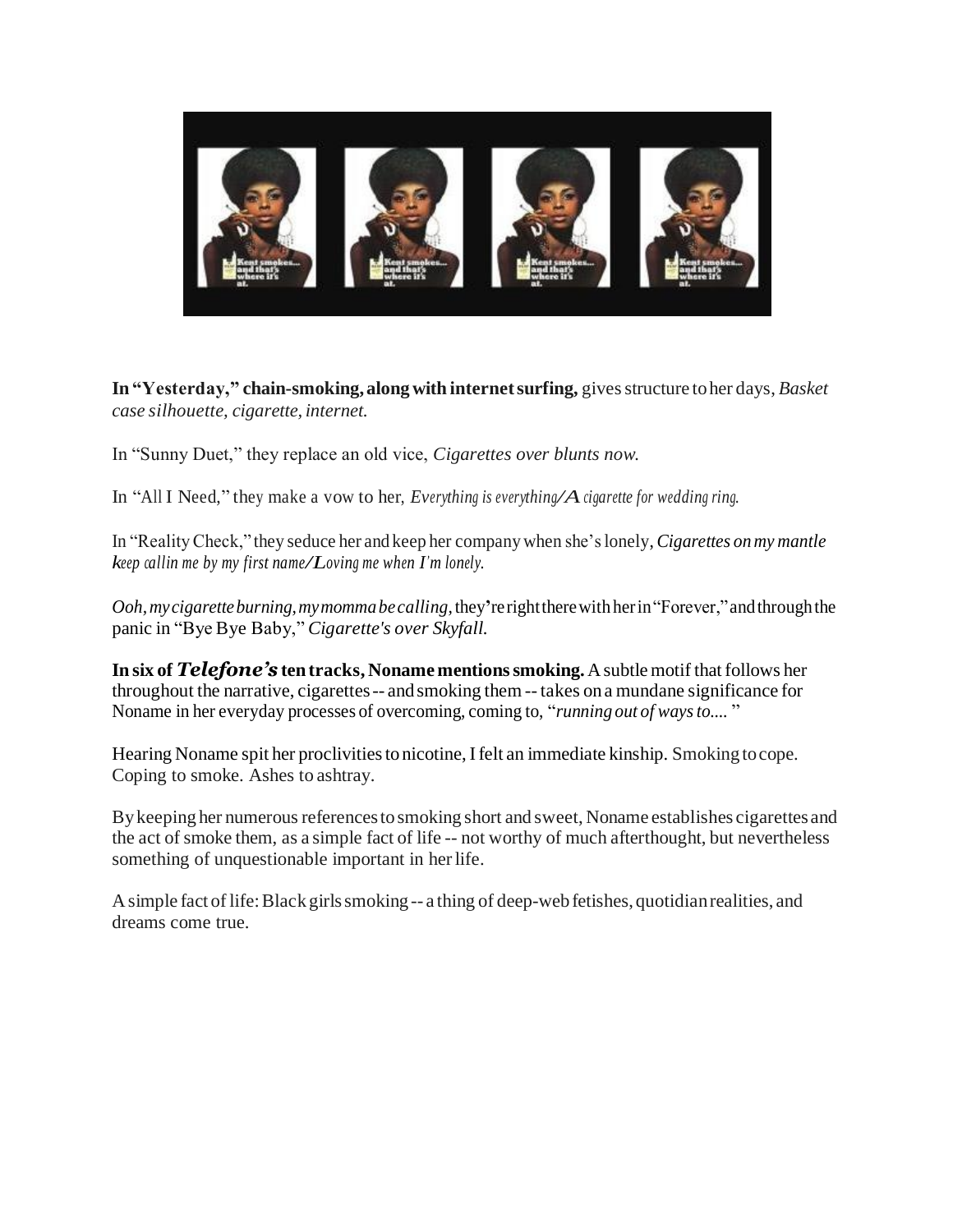

**In "Yesterday," chain-smoking, along with internetsurfing,** givesstructure toher days, *Basket case silhouette, cigarette, internet.*

In "Sunny Duet," they replace an old vice, *Cigarettes over blunts now.*

In "All I Need," they make <sup>a</sup> vow to her, *Everything is everything/Acigarette for wedding ring.*

In "RealityCheck," they seduce her and keep her companywhen she'slonely, *Cigarettes onmy mantle keep callin me by my first name/Loving me when I'm lonely.*

*Ooh,mycigaretteburning,mymommabecalling,*they**'**rerighttherewithherin"Forever,"andthroughthe panic in "Bye Bye Baby," *Cigarette's over Skyfall.*

**In six of** *Telefone's* **tentracks, Noname mentions smoking.** A subtlemotif that follows her throughout the narrative, cigarettes-- and smoking them -- takes ona mundane significance for Noname in her everyday processes of overcoming, coming to, "*running out of waysto....* "

Hearing Noname spit her proclivities to nicotine, I felt an immediate kinship. Smoking to cope. Coping to smoke. Ashes to ashtray.

By keeping her numerous references to smoking short and sweet, Noname establishes cigarettes and the act of smoke them, as a simple fact of life -- not worthy of much afterthought, but nevertheless something of unquestionable important in her life.

A simple fact of life: Black girls smoking -- a thing of deep-web fetishes, quotidian realities, and dreams come true.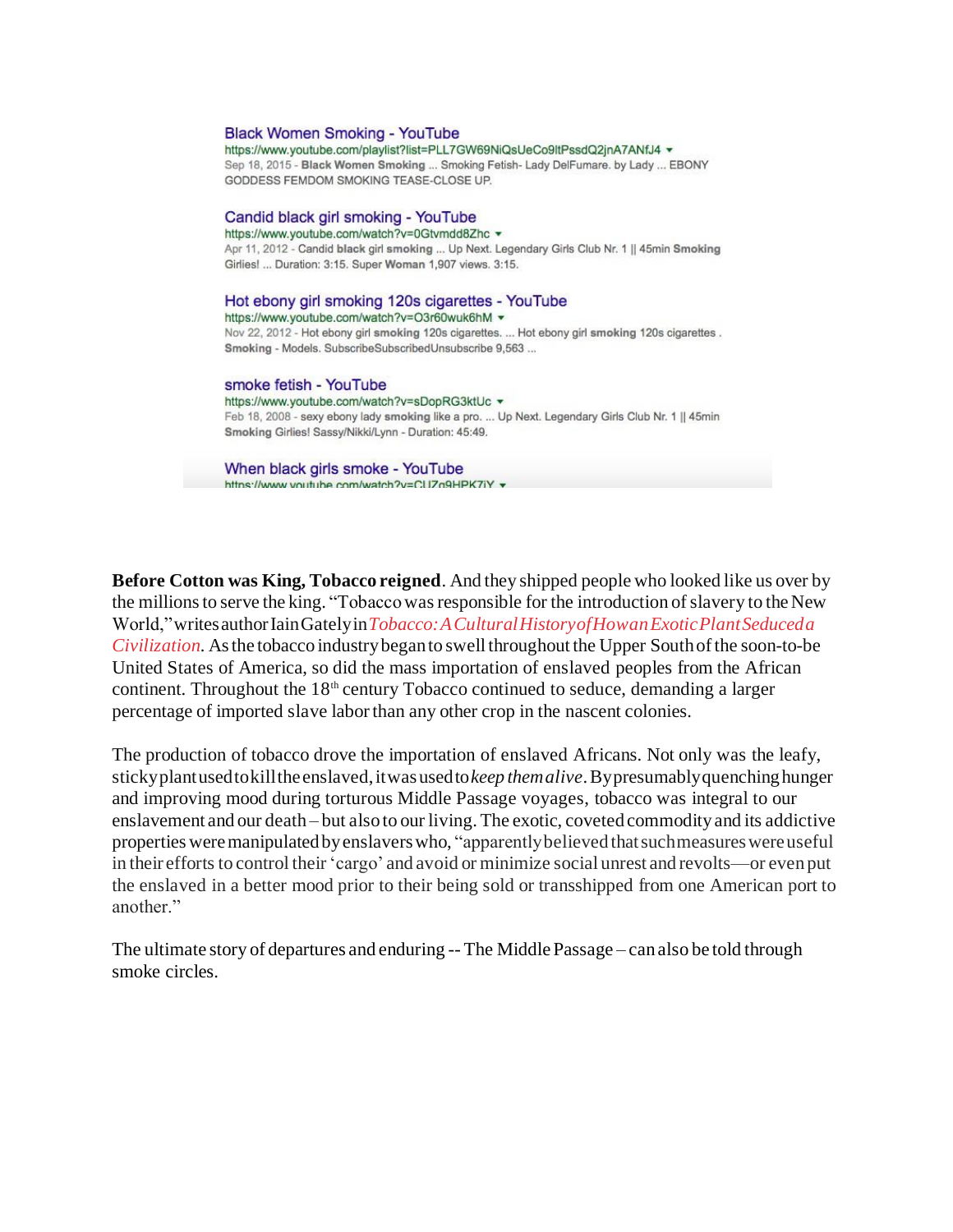| <b>Black Women Smoking - YouTube</b><br>https://www.youtube.com/playlist?list=PLL7GW69NiQsUeCo9ltPssdQ2jnA7ANfJ4 v<br>Sep 18, 2015 - Black Women Smoking  Smoking Fetish- Lady DelFumare. by Lady  EBONY<br>GODDESS FEMDOM SMOKING TEASE-CLOSE UP.             |
|----------------------------------------------------------------------------------------------------------------------------------------------------------------------------------------------------------------------------------------------------------------|
| Candid black girl smoking - YouTube<br>https://www.youtube.com/watch?v=0Gtvmdd8Zhc v<br>Apr 11, 2012 - Candid black girl smoking  Up Next. Legendary Girls Club Nr. 1    45min Smoking<br>Girlies!  Duration: 3:15. Super Woman 1,907 views. 3:15.             |
| Hot ebony girl smoking 120s cigarettes - YouTube<br>https://www.youtube.com/watch?v=O3r60wuk6hM -<br>Nov 22, 2012 - Hot ebony girl smoking 120s cigarettes.  Hot ebony girl smoking 120s cigarettes.<br>Smoking - Models. SubscribeSubscribedUnsubscribe 9,563 |
| smoke fetish - YouTube<br>https://www.youtube.com/watch?v=sDopRG3ktUc +<br>Feb 18, 2008 - sexy ebony lady smoking like a pro.  Up Next. Legendary Girls Club Nr. 1    45min<br>Smoking Girlies! Sassy/Nikki/Lynn - Duration: 45:49.                            |
| When black girls smoke - YouTube<br>https://www.youtube.com/watch?v=CIIZg9HPK7iY +                                                                                                                                                                             |

**Before Cotton was King, Tobacco reigned**. And they shipped people who looked like us over by the millions to serve the king. "Tobacco was responsible for the introduction of slavery to the New World,"writesauthorIainGatelyin*[Tobacco:ACulturalHistoryofHowanExoticPlantSeduceda](http://www.amazon.com/gp/product/0802139604/ref%3Das_li_tl?ie=UTF8&camp=1789&creative=390957&creativeASIN=0802139604&linkCode=as2&tag=vicastingcom-20&linkId=QMPMVK4RUKLLVC64) [Civilization.](http://www.amazon.com/gp/product/0802139604/ref%3Das_li_tl?ie=UTF8&camp=1789&creative=390957&creativeASIN=0802139604&linkCode=as2&tag=vicastingcom-20&linkId=QMPMVK4RUKLLVC64)* Asthe tobacco industrybeganto swell throughout the Upper Southofthe soon-to-be United States of America, so did the mass importation of enslaved peoples from the African continent. Throughout the  $18<sup>th</sup>$  century Tobacco continued to seduce, demanding a larger percentage of imported slave laborthan any other crop in the nascent colonies.

The production of tobacco drove the importation of enslaved Africans. Not only was the leafy, stickyplantusedtokilltheenslaved,itwasusedto*keep themalive*.Bypresumablyquenchinghunger and improving mood during torturous Middle Passage voyages, tobacco was integral to our enslavement and our death – but also to our living.The exotic, coveted commodity and its addictive properties weremanipulatedbyenslaverswho, "apparentlybelieved thatsuchmeasureswereuseful in their efforts to control their 'cargo' and avoid or minimize social unrest and revolts—or even put the enslaved in a better mood prior to their being sold or transshipped from one American port to another."

The ultimate story of departures and enduring -- The Middle Passage – can also be told through smoke circles.